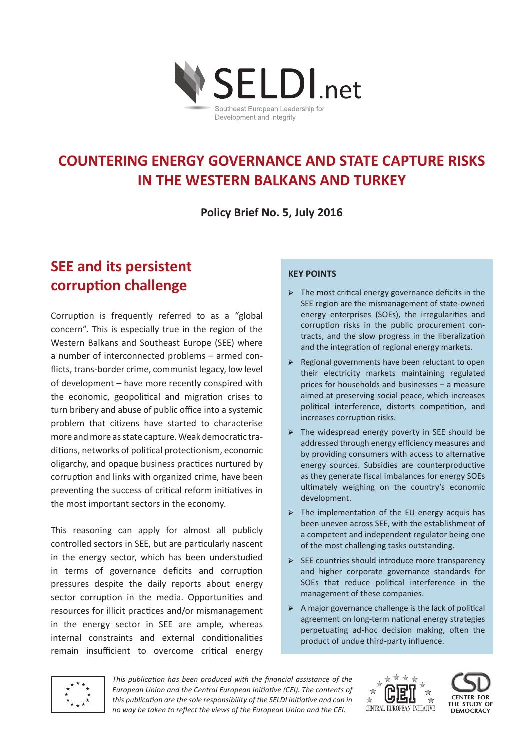

# **COUNTERING ENERGY GOVERNANCE AND STATE CAPTURE RISKS IN THE WESTERN BALKANS AND TURKEY**

**Policy Brief No. 5, July 2016**

# **SEE and its persistent corruption challenge**

Corruption is frequently referred to as a "global concern". This is especially true in the region of the Western Balkans and Southeast Europe (SEE) where a number of interconnected problems – armed conflicts, trans-border crime, communist legacy, low level of development – have more recently conspired with the economic, geopolitical and migration crises to turn bribery and abuse of public office into a systemic problem that citizens have started to characterise more and more as state capture. Weak democratic traditions, networks of political protectionism, economic oligarchy, and opaque business practices nurtured by corruption and links with organized crime, have been preventing the success of critical reform initiatives in the most important sectors in the economy.

This reasoning can apply for almost all publicly controlled sectors in SEE, but are particularly nascent in the energy sector, which has been understudied in terms of governance deficits and corruption pressures despite the daily reports about energy sector corruption in the media. Opportunities and resources for illicit practices and/or mismanagement in the energy sector in SEE are ample, whereas internal constraints and external conditionalities remain insufficient to overcome critical energy

### **Key points**

- $\triangleright$  The most critical energy governance deficits in the SEE region are the mismanagement of state-owned energy enterprises (SOEs), the irregularities and corruption risks in the public procurement contracts, and the slow progress in the liberalization and the integration of regional energy markets.
- → Regional governments have been reluctant to open their electricity markets maintaining regulated prices for households and businesses – a measure aimed at preserving social peace, which increases political interference, distorts competition, and increases corruption risks.
- $\triangleright$  The widespread energy poverty in SEE should be addressed through energy efficiency measures and by providing consumers with access to alternative energy sources. Subsidies are counterproductive as they generate fiscal imbalances for energy SOEs ultimately weighing on the country's economic development.
- $\triangleright$  The implementation of the EU energy acquis has been uneven across SEE, with the establishment of a competent and independent regulator being one of the most challenging tasks outstanding.
- → SEE countries should introduce more transparency and higher corporate governance standards for SOEs that reduce political interference in the management of these companies.
- $\triangleright$  A major governance challenge is the lack of political agreement on long-term national energy strategies perpetuating ad-hoc decision making, often the product of undue third-party influence.



*This publication has been produced with the financial assistance of the European Union and the Central European Initiative (CEI). The contents of this publication are the sole responsibility of the SELDI initiative and can in no way be taken to reflect the views of the European Union and the CEI.*



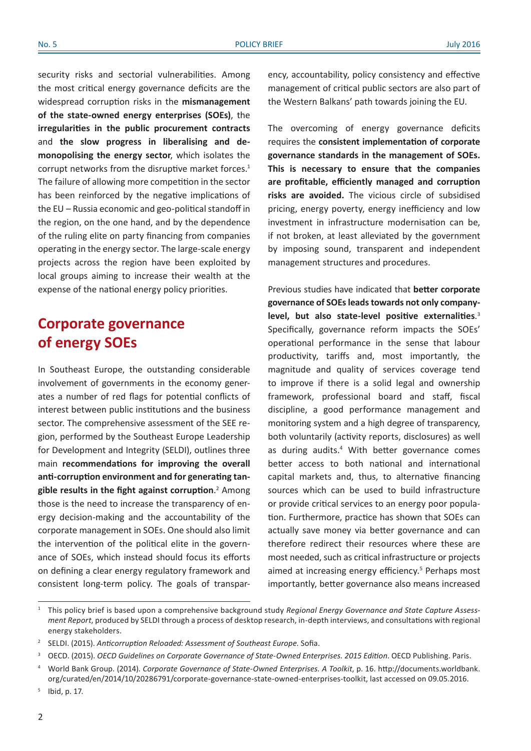security risks and sectorial vulnerabilities. Among the most critical energy governance deficits are the widespread corruption risks in the **mismanagement of the state-owned energy enterprises (SOEs)**, the **irregularities in the public procurement contracts** and **the slow progress in liberalising and demonopolising the energy sector**, which isolates the corrupt networks from the disruptive market forces.<sup>1</sup> The failure of allowing more competition in the sector has been reinforced by the negative implications of the EU – Russia economic and geo-political standoff in the region, on the one hand, and by the dependence of the ruling elite on party financing from companies operating in the energy sector. The large-scale energy projects across the region have been exploited by local groups aiming to increase their wealth at the expense of the national energy policy priorities.

# **Corporate governance of energy SOEs**

In Southeast Europe, the outstanding considerable involvement of governments in the economy generates a number of red flags for potential conflicts of interest between public institutions and the business sector. The comprehensive assessment of the SEE region, performed by the Southeast Europe Leadership for Development and Integrity (SELDI), outlines three main **recommendations for improving the overall anti-corruption environment and for generating tangible results in the fight against corruption**. 2 Among those is the need to increase the transparency of energy decision-making and the accountability of the corporate management in SOEs. One should also limit the intervention of the political elite in the governance of SOEs, which instead should focus its efforts on defining a clear energy regulatory framework and consistent long-term policy. The goals of transpar-

ency, accountability, policy consistency and effective management of critical public sectors are also part of the Western Balkans' path towards joining the EU.

The overcoming of energy governance deficits requires the **consistent implementation of corporate governance standards in the management of SOEs. This is necessary to ensure that the companies are profitable, efficiently managed and corruption risks are avoided.** The vicious circle of subsidised pricing, energy poverty, energy inefficiency and low investment in infrastructure modernisation can be, if not broken, at least alleviated by the government by imposing sound, transparent and independent management structures and procedures.

Previous studies have indicated that **better corporate governance of SOEs leads towards not only companylevel, but also state-level positive externalities**. 3 Specifically, governance reform impacts the SOEs' operational performance in the sense that labour productivity, tariffs and, most importantly, the magnitude and quality of services coverage tend to improve if there is a solid legal and ownership framework, professional board and staff, fiscal discipline, a good performance management and monitoring system and a high degree of transparency, both voluntarily (activity reports, disclosures) as well as during audits.<sup>4</sup> With better governance comes better access to both national and international capital markets and, thus, to alternative financing sources which can be used to build infrastructure or provide critical services to an energy poor population. Furthermore, practice has shown that SOEs can actually save money via better governance and can therefore redirect their resources where these are most needed, such as critical infrastructure or projects aimed at increasing energy efficiency.<sup>5</sup> Perhaps most importantly, better governance also means increased

<sup>1</sup> This policy brief is based upon a comprehensive background study *Regional Energy Governance and State Capture Assessment Report*, produced by SELDI through a process of desktop research, in-depth interviews, and consultations with regional energy stakeholders.

<sup>&</sup>lt;sup>2</sup> SELDI. (2015). Anticorruption Reloaded: Assessment of Southeast Europe. Sofia.

<sup>3</sup> OECD. (2015). *OECD Guidelines on Corporate Governance of State-Owned Enterprises. 2015 Edition*. OECD Publishing. Paris.

<sup>4</sup> World Bank Group. (2014). *Corporate Governance of State-Owned Enterprises. A Toolkit*, p. 16. http://documents.worldbank. org/curated/en/2014/10/20286791/corporate-governance-state-owned-enterprises-toolkit, last accessed on 09.05.2016.

<sup>5</sup> Ibid, p. 17.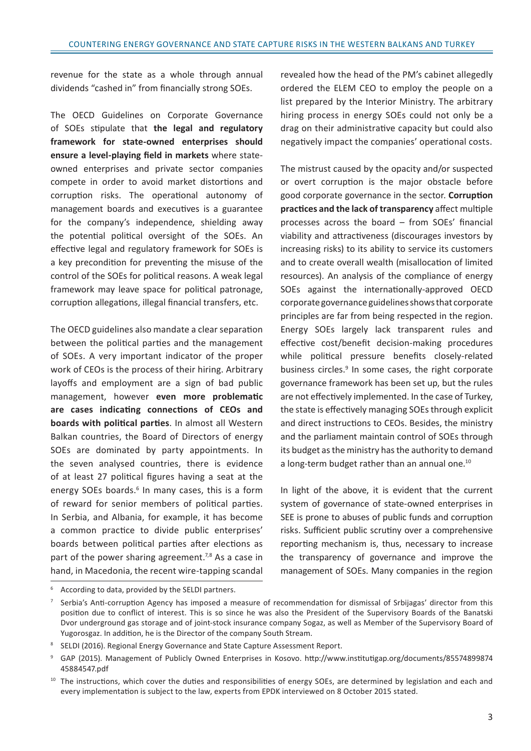revenue for the state as a whole through annual dividends "cashed in" from financially strong SOEs.

The OECD Guidelines on Corporate Governance of SOEs stipulate that **the legal and regulatory framework for state-owned enterprises should ensure a level-playing field in markets** where stateowned enterprises and private sector companies compete in order to avoid market distortions and corruption risks. The operational autonomy of management boards and executives is a guarantee for the company's independence, shielding away the potential political oversight of the SOEs. An effective legal and regulatory framework for SOEs is a key precondition for preventing the misuse of the control of the SOEs for political reasons. A weak legal framework may leave space for political patronage, corruption allegations, illegal financial transfers, etc.

The OECD guidelines also mandate a clear separation between the political parties and the management of SOEs. A very important indicator of the proper work of CEOs is the process of their hiring. Arbitrary layoffs and employment are a sign of bad public management, however **even more problematic are cases indicating connections of CEOs and boards with political parties**. In almost all Western Balkan countries, the Board of Directors of energy SOEs are dominated by party appointments. In the seven analysed countries, there is evidence of at least 27 political figures having a seat at the energy SOEs boards.<sup>6</sup> In many cases, this is a form of reward for senior members of political parties. In Serbia, and Albania, for example, it has become a common practice to divide public enterprises' boards between political parties after elections as part of the power sharing agreement.<sup>7,8</sup> As a case in hand, in Macedonia, the recent wire-tapping scandal

revealed how the head of the PM's cabinet allegedly ordered the ELEM CEO to employ the people on a list prepared by the Interior Ministry. The arbitrary hiring process in energy SOEs could not only be a drag on their administrative capacity but could also negatively impact the companies' operational costs.

The mistrust caused by the opacity and/or suspected or overt corruption is the major obstacle before good corporate governance in the sector. **Corruption practices and the lack of transparency** affect multiple processes across the board – from SOEs' financial viability and attractiveness (discourages investors by increasing risks) to its ability to service its customers and to create overall wealth (misallocation of limited resources). An analysis of the compliance of energy SOEs against the internationally-approved OECD corporate governance guidelines shows that corporate principles are far from being respected in the region. Energy SOEs largely lack transparent rules and effective cost/benefit decision-making procedures while political pressure benefits closely-related business circles.<sup>9</sup> In some cases, the right corporate governance framework has been set up, but the rules are not effectively implemented. In the case of Turkey, the state is effectively managing SOEs through explicit and direct instructions to CEOs. Besides, the ministry and the parliament maintain control of SOEs through its budget as the ministry has the authority to demand a long-term budget rather than an annual one.<sup>10</sup>

In light of the above, it is evident that the current system of governance of state-owned enterprises in SEE is prone to abuses of public funds and corruption risks. Sufficient public scrutiny over a comprehensive reporting mechanism is, thus, necessary to increase the transparency of governance and improve the management of SOEs. Many companies in the region

<sup>6</sup> According to data, provided by the SELDI partners.

 $7$  Serbia's Anti-corruption Agency has imposed a measure of recommendation for dismissal of Srbijagas' director from this position due to conflict of interest. This is so since he was also the President of the Supervisory Boards of the Banatski Dvor underground gas storage and of joint-stock insurance company Sogaz, as well as Member of the Supervisory Board of Yugorosgaz. In addition, he is the Director of the company South Stream.

<sup>&</sup>lt;sup>8</sup> SELDI (2016). Regional Energy Governance and State Capture Assessment Report.

<sup>9</sup> GAP (2015). Management of Publicly Owned Enterprises in Kosovo. http://www.institutigap.org/documents/85574899874 45884547.pdf

<sup>&</sup>lt;sup>10</sup> The instructions, which cover the duties and responsibilities of energy SOEs, are determined by legislation and each and every implementation is subject to the law, experts from EPDK interviewed on 8 October 2015 stated.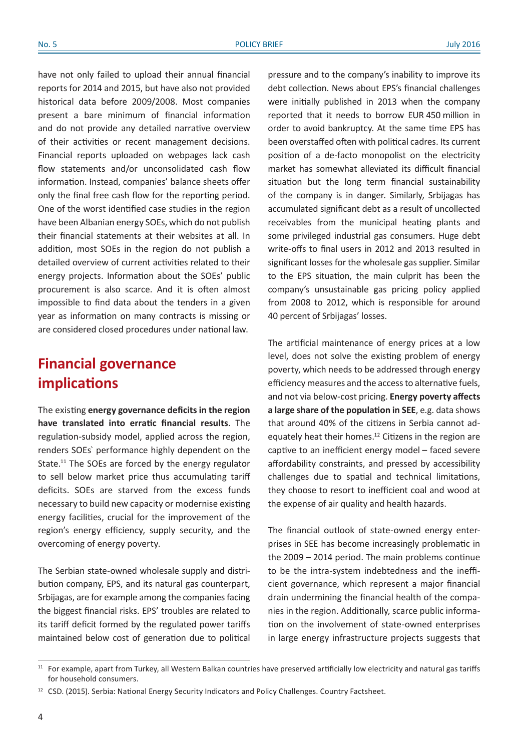have not only failed to upload their annual financial reports for 2014 and 2015, but have also not provided historical data before 2009/2008. Most companies present a bare minimum of financial information and do not provide any detailed narrative overview of their activities or recent management decisions. Financial reports uploaded on webpages lack cash flow statements and/or unconsolidated cash flow information. Instead, companies' balance sheets offer only the final free cash flow for the reporting period. One of the worst identified case studies in the region have been Albanian energy SOEs, which do not publish their financial statements at their websites at all. In addition, most SOEs in the region do not publish a detailed overview of current activities related to their energy projects. Information about the SOEs' public procurement is also scarce. And it is often almost impossible to find data about the tenders in a given year as information on many contracts is missing or are considered closed procedures under national law.

# **Financial governance implications**

The existing **energy governance deficits in the region have translated into erratic financial results**. The regulation-subsidy model, applied across the region, renders SOEs` performance highly dependent on the State.<sup>11</sup> The SOEs are forced by the energy regulator to sell below market price thus accumulating tariff deficits. SOEs are starved from the excess funds necessary to build new capacity or modernise existing energy facilities, crucial for the improvement of the region's energy efficiency, supply security, and the overcoming of energy poverty.

The Serbian state-owned wholesale supply and distribution company, EPS, and its natural gas counterpart, Srbijagas, are for example among the companies facing the biggest financial risks. EPS' troubles are related to its tariff deficit formed by the regulated power tariffs maintained below cost of generation due to political

pressure and to the company's inability to improve its debt collection. News about EPS's financial challenges were initially published in 2013 when the company reported that it needs to borrow EUR 450 million in order to avoid bankruptcy. At the same time EPS has been overstaffed often with political cadres. Its current position of a de-facto monopolist on the electricity market has somewhat alleviated its difficult financial situation but the long term financial sustainability of the company is in danger. Similarly, Srbijagas has accumulated significant debt as a result of uncollected receivables from the municipal heating plants and some privileged industrial gas consumers. Huge debt write-offs to final users in 2012 and 2013 resulted in significant losses for the wholesale gas supplier. Similar to the EPS situation, the main culprit has been the company's unsustainable gas pricing policy applied from 2008 to 2012, which is responsible for around 40 percent of Srbijagas' losses.

The artificial maintenance of energy prices at a low level, does not solve the existing problem of energy poverty, which needs to be addressed through energy efficiency measures and the access to alternative fuels, and not via below-cost pricing. **Energy poverty affects a large share of the population in SEE**, e.g. data shows that around 40% of the citizens in Serbia cannot adequately heat their homes.12 Citizens in the region are captive to an inefficient energy model – faced severe affordability constraints, and pressed by accessibility challenges due to spatial and technical limitations, they choose to resort to inefficient coal and wood at the expense of air quality and health hazards.

The financial outlook of state-owned energy enterprises in SEE has become increasingly problematic in the 2009 – 2014 period. The main problems continue to be the intra-system indebtedness and the inefficient governance, which represent a major financial drain undermining the financial health of the companies in the region. Additionally, scarce public information on the involvement of state-owned enterprises in large energy infrastructure projects suggests that

<sup>&</sup>lt;sup>11</sup> For example, apart from Turkey, all Western Balkan countries have preserved artificially low electricity and natural gas tariffs for household consumers.

<sup>&</sup>lt;sup>12</sup> CSD. (2015). Serbia: National Energy Security Indicators and Policy Challenges. Country Factsheet.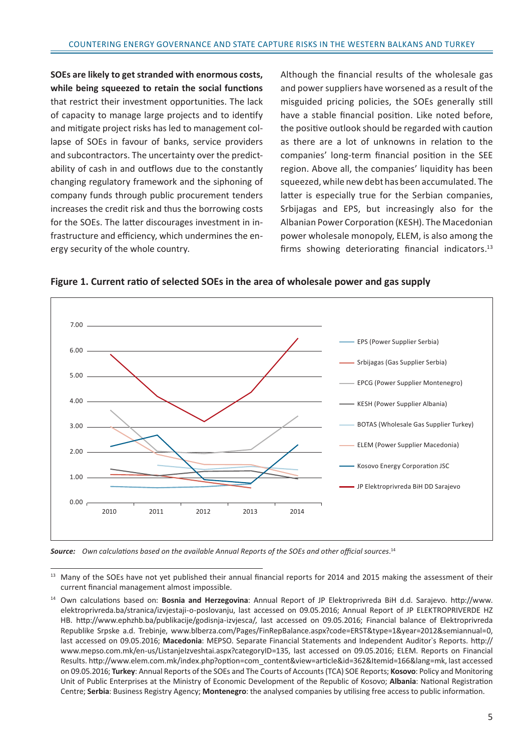**SOEs are likely to get stranded with enormous costs, while being squeezed to retain the social functions** that restrict their investment opportunities. The lack of capacity to manage large projects and to identify and mitigate project risks has led to management collapse of SOEs in favour of banks, service providers and subcontractors. The uncertainty over the predictability of cash in and outflows due to the constantly changing regulatory framework and the siphoning of company funds through public procurement tenders increases the credit risk and thus the borrowing costs for the SOEs. The latter discourages investment in infrastructure and efficiency, which undermines the energy security of the whole country.

Although the financial results of the wholesale gas and power suppliers have worsened as a result of the misguided pricing policies, the SOEs generally still have a stable financial position. Like noted before, the positive outlook should be regarded with caution as there are a lot of unknowns in relation to the companies' long-term financial position in the SEE region. Above all, the companies' liquidity has been squeezed, while new debt has been accumulated. The latter is especially true for the Serbian companies, Srbijagas and EPS, but increasingly also for the Albanian Power Corporation (KESH). The Macedonian power wholesale monopoly, ELEM, is also among the firms showing deteriorating financial indicators.<sup>13</sup>





*Source: Own calculations based on the available Annual Reports of the SOEs and other official sources*. 14

<sup>&</sup>lt;sup>13</sup> Many of the SOEs have not yet published their annual financial reports for 2014 and 2015 making the assessment of their current financial management almost impossible.

<sup>14</sup> Own calculations based on: **Bosnia and Herzegovina**: Annual Report of JP Elektroprivreda BiH d.d. Sarajevo. http://www. elektroprivreda.ba/stranica/izvjestaji-o-poslovanju, last accessed on 09.05.2016; Annual Report of JP ELEKTROPRIVERDE HZ HB. http://www.ephzhb.ba/publikacije/godisnja-izvjesca/, last accessed on 09.05.2016; Financial balance of Elektroprivreda Republike Srpske a.d. Trebinje, www.blberza.com/Pages/FinRepBalance.aspx?code=ERST&type=1&year=2012&semiannual=0, last accessed on 09.05.2016; **Macedonia**: MEPSO. Separate Financial Statements and Independent Auditor`s Reports. http:// www.mepso.com.mk/en-us/ListanjeIzveshtai.aspx?categoryID=135, last accessed on 09.05.2016; ELEM. Reports on Financial Results. http://www.elem.com.mk/index.php?option=com\_content&view=article&id=362&Itemid=166&lang=mk, last accessed on 09.05.2016; **Turkey**: Annual Reports of the SOEs and The Courts of Accounts (TCA) SOE Reports; **Kosovo**: Policy and Monitoring Unit of Public Enterprises at the Ministry of Economic Development of the Republic of Kosovo; **Albania**: National Registration Centre; **Serbia**: Business Registry Agency; **Montenegro**: the analysed companies by utilising free access to public information.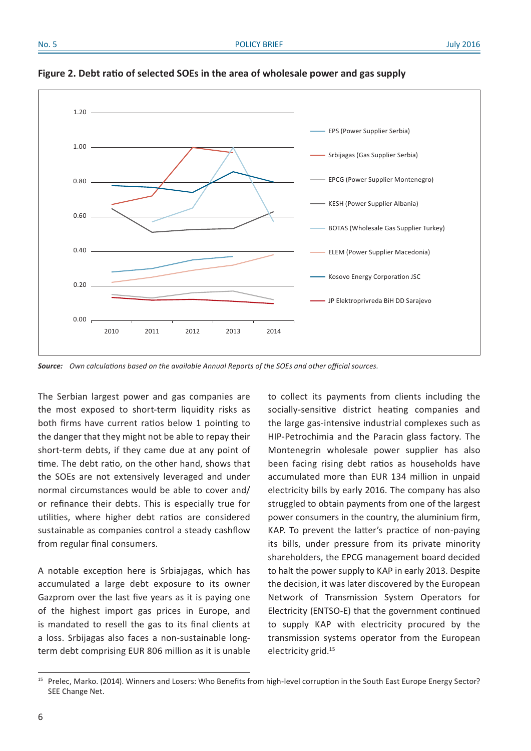

**Figure 2. Debt ratio of selected SOEs in the area of wholesale power and gas supply**

*Source: Own calculations based on the available Annual Reports of the SOEs and other official sources.*

The Serbian largest power and gas companies are the most exposed to short-term liquidity risks as both firms have current ratios below 1 pointing to the danger that they might not be able to repay their short-term debts, if they came due at any point of time. The debt ratio, on the other hand, shows that the SOEs are not extensively leveraged and under normal circumstances would be able to cover and/ or refinance their debts. This is especially true for utilities, where higher debt ratios are considered sustainable as companies control a steady cashflow from regular final consumers.

A notable exception here is Srbiajagas, which has accumulated a large debt exposure to its owner Gazprom over the last five years as it is paying one of the highest import gas prices in Europe, and is mandated to resell the gas to its final clients at a loss. Srbijagas also faces a non-sustainable longterm debt comprising EUR 806 million as it is unable to collect its payments from clients including the socially-sensitive district heating companies and the large gas-intensive industrial complexes such as HIP-Petrochimia and the Paracin glass factory. The Montenegrin wholesale power supplier has also been facing rising debt ratios as households have accumulated more than EUR 134 million in unpaid electricity bills by early 2016. The company has also struggled to obtain payments from one of the largest power consumers in the country, the aluminium firm, KAP. To prevent the latter's practice of non-paying its bills, under pressure from its private minority shareholders, the EPCG management board decided to halt the power supply to KAP in early 2013. Despite the decision, it was later discovered by the European Network of Transmission System Operators for Electricity (ENTSO-E) that the government continued to supply KAP with electricity procured by the transmission systems operator from the European electricity grid.15

Prelec, Marko. (2014). Winners and Losers: Who Benefits from high-level corruption in the South East Europe Energy Sector? SEE Change Net.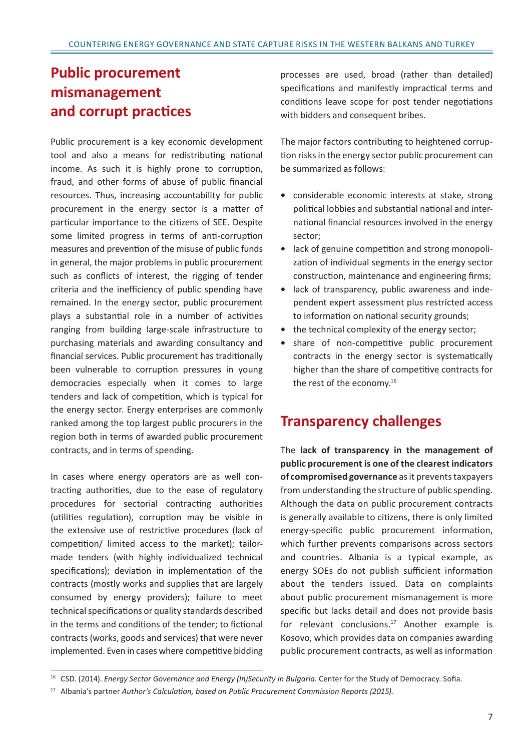# **Public procurement mismanagement and corrupt practices**

Public procurement is a key economic development tool and also a means for redistributing national income. As such it is highly prone to corruption, fraud, and other forms of abuse of public financial resources. Thus, increasing accountability for public procurement in the energy sector is a matter of particular importance to the citizens of SEE. Despite some limited progress in terms of anti-corruption measures and prevention of the misuse of public funds in general, the major problems in public procurement such as conflicts of interest, the rigging of tender criteria and the inefficiency of public spending have remained. In the energy sector, public procurement plays a substantial role in a number of activities ranging from building large-scale infrastructure to purchasing materials and awarding consultancy and financial services. Public procurement has traditionally been vulnerable to corruption pressures in young democracies especially when it comes to large tenders and lack of competition, which is typical for the energy sector. Energy enterprises are commonly ranked among the top largest public procurers in the region both in terms of awarded public procurement contracts, and in terms of spending.

In cases where energy operators are as well contracting authorities, due to the ease of regulatory procedures for sectorial contracting authorities (utilities regulation), corruption may be visible in the extensive use of restrictive procedures (lack of competition/ limited access to the market); tailormade tenders (with highly individualized technical specifications); deviation in implementation of the contracts (mostly works and supplies that are largely consumed by energy providers); failure to meet technical specifications or quality standards described in the terms and conditions of the tender; to fictional contracts (works, goods and services) that were never implemented. Even in cases where competitive bidding processes are used, broad (rather than detailed) specifications and manifestly impractical terms and conditions leave scope for post tender negotiations with bidders and consequent bribes.

The major factors contributing to heightened corruption risks in the energy sector public procurement can be summarized as follows:

- **•** considerable economic interests at stake, strong political lobbies and substantial national and international financial resources involved in the energy sector;
- **•** lack of genuine competition and strong monopolization of individual segments in the energy sector construction, maintenance and engineering firms;
- **•** lack of transparency, public awareness and independent expert assessment plus restricted access to information on national security grounds;
- **•** the technical complexity of the energy sector;
- **•** share of non-competitive public procurement contracts in the energy sector is systematically higher than the share of competitive contracts for the rest of the economy.16

### **Transparency challenges**

The **lack of transparency in the management of public procurement is one of the clearest indicators of compromised governance** as it prevents taxpayers from understanding the structure of public spending. Although the data on public procurement contracts is generally available to citizens, there is only limited energy-specific public procurement information, which further prevents comparisons across sectors and countries. Albania is a typical example, as energy SOEs do not publish sufficient information about the tenders issued. Data on complaints about public procurement mismanagement is more specific but lacks detail and does not provide basis for relevant conclusions.<sup>17</sup> Another example is Kosovo, which provides data on companies awarding public procurement contracts, as well as information

<sup>16</sup> CSD. (2014). *Energy Sector Governance and Energy (In)Security in Bulgaria*. Center for the Study of Democracy. Sofia.

<sup>17</sup> Albania's partner *Author's Calculation, based on Public Procurement Commission Reports (2015)*.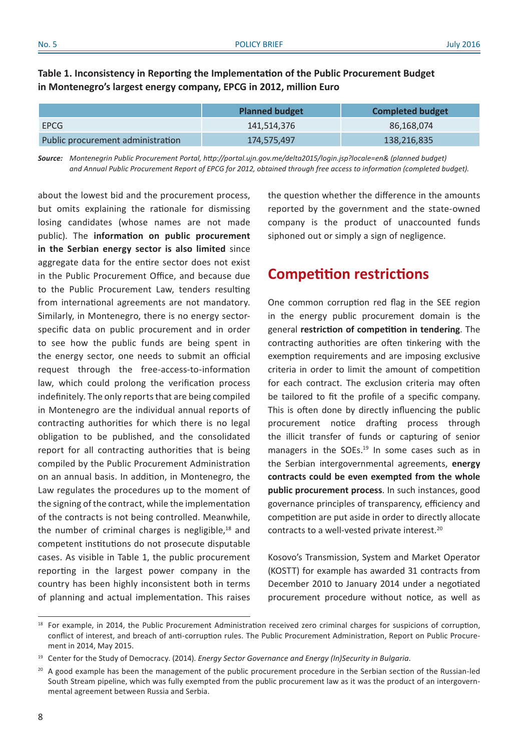### **Table 1. Inconsistency in Reporting the Implementation of the Public Procurement Budget in Montenegro's largest energy company, EPCG in 2012, million Euro**

|                                   | <b>Planned budget</b><br><b>Completed budget</b> |             |  |
|-----------------------------------|--------------------------------------------------|-------------|--|
| <b>EPCG</b>                       | 141,514,376                                      | 86,168,074  |  |
| Public procurement administration | 174,575,497                                      | 138,216,835 |  |

*Source: Montenegrin Public Procurement Portal, http://portal.ujn.gov.me/delta2015/login.jsp?locale=en& (planned budget) and Annual Public Procurement Report of EPCG for 2012, obtained through free access to information (completed budget).*

about the lowest bid and the procurement process, but omits explaining the rationale for dismissing losing candidates (whose names are not made public). The **information on public procurement in the Serbian energy sector is also limited** since aggregate data for the entire sector does not exist in the Public Procurement Office, and because due to the Public Procurement Law, tenders resulting from international agreements are not mandatory. Similarly, in Montenegro, there is no energy sectorspecific data on public procurement and in order to see how the public funds are being spent in the energy sector, one needs to submit an official request through the free-access-to-information law, which could prolong the verification process indefinitely. The only reports that are being compiled in Montenegro are the individual annual reports of contracting authorities for which there is no legal obligation to be published, and the consolidated report for all contracting authorities that is being compiled by the Public Procurement Administration on an annual basis. In addition, in Montenegro, the Law regulates the procedures up to the moment of the signing of the contract, while the implementation of the contracts is not being controlled. Meanwhile, the number of criminal charges is negligible, $18$  and competent institutions do not prosecute disputable cases. As visible in Table 1, the public procurement reporting in the largest power company in the country has been highly inconsistent both in terms of planning and actual implementation. This raises the question whether the difference in the amounts reported by the government and the state-owned company is the product of unaccounted funds siphoned out or simply a sign of negligence.

### **Competition restrictions**

One common corruption red flag in the SEE region in the energy public procurement domain is the general **restriction of competition in tendering**. The contracting authorities are often tinkering with the exemption requirements and are imposing exclusive criteria in order to limit the amount of competition for each contract. The exclusion criteria may often be tailored to fit the profile of a specific company. This is often done by directly influencing the public procurement notice drafting process through the illicit transfer of funds or capturing of senior managers in the SOEs.<sup>19</sup> In some cases such as in the Serbian intergovernmental agreements, **energy contracts could be even exempted from the whole public procurement process**. In such instances, good governance principles of transparency, efficiency and competition are put aside in order to directly allocate contracts to a well-vested private interest.20

Kosovo's Transmission, System and Market Operator (KOSTT) for example has awarded 31 contracts from December 2010 to January 2014 under a negotiated procurement procedure without notice, as well as

<sup>&</sup>lt;sup>18</sup> For example, in 2014, the Public Procurement Administration received zero criminal charges for suspicions of corruption, conflict of interest, and breach of anti-corruption rules. The Public Procurement Administration, Report on Public Procurement in 2014, May 2015.

<sup>19</sup> Center for the Study of Democracy. (2014). *Energy Sector Governance and Energy (In)Security in Bulgaria*.

<sup>&</sup>lt;sup>20</sup> A good example has been the management of the public procurement procedure in the Serbian section of the Russian-led South Stream pipeline, which was fully exempted from the public procurement law as it was the product of an intergovernmental agreement between Russia and Serbia.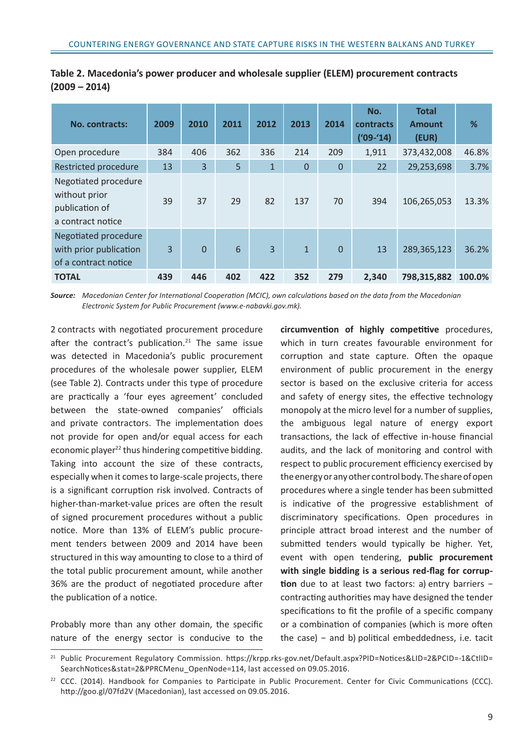| <b>No. contracts:</b>                                                        | 2009 | 2010     | 2011 | 2012           | 2013         | 2014     | No.<br>contracts<br>$(109 - 14)$ | <b>Total</b><br><b>Amount</b><br>(EUR) | %      |
|------------------------------------------------------------------------------|------|----------|------|----------------|--------------|----------|----------------------------------|----------------------------------------|--------|
| Open procedure                                                               | 384  | 406      | 362  | 336            | 214          | 209      | 1,911                            | 373,432,008                            | 46.8%  |
| <b>Restricted procedure</b>                                                  | 13   | 3        | 5    | $\overline{1}$ | $\mathbf{0}$ | $\Omega$ | 22                               | 29,253,698                             | 3.7%   |
| Negotiated procedure<br>without prior<br>publication of<br>a contract notice | 39   | 37       | 29   | 82             | 137          | 70       | 394                              | 106,265,053                            | 13.3%  |
| Negotiated procedure<br>with prior publication<br>of a contract notice       | 3    | $\Omega$ | 6    | $\overline{3}$ | $\mathbf{1}$ | $\Omega$ | 13                               | 289,365,123                            | 36.2%  |
| <b>TOTAL</b>                                                                 | 439  | 446      | 402  | 422            | 352          | 279      | 2,340                            | 798,315,882                            | 100.0% |

|                 | Table 2. Macedonia's power producer and wholesale supplier (ELEM) procurement contracts |  |  |
|-----------------|-----------------------------------------------------------------------------------------|--|--|
| $(2009 - 2014)$ |                                                                                         |  |  |

*Source: Macedonian Center for International Cooperation (MCIC), own calculations based on the data from the Macedonian Electronic System for Public Procurement (www.e-nabavki.gov.mk).*

2 contracts with negotiated procurement procedure after the contract's publication.<sup>21</sup> The same issue was detected in Macedonia's public procurement procedures of the wholesale power supplier, ELEM (see Table 2). Contracts under this type of procedure are practically a 'four eyes agreement' concluded between the state-owned companies' officials and private contractors. The implementation does not provide for open and/or equal access for each economic player<sup>22</sup> thus hindering competitive bidding. Taking into account the size of these contracts, especially when it comes to large-scale projects, there is a significant corruption risk involved. Contracts of higher-than-market-value prices are often the result of signed procurement procedures without a public notice. More than 13% of ELEM's public procurement tenders between 2009 and 2014 have been structured in this way amounting to close to a third of the total public procurement amount, while another 36% are the product of negotiated procedure after the publication of a notice.

Probably more than any other domain, the specific nature of the energy sector is conducive to the **circumvention of highly competitive** procedures, which in turn creates favourable environment for corruption and state capture. Often the opaque environment of public procurement in the energy sector is based on the exclusive criteria for access and safety of energy sites, the effective technology monopoly at the micro level for a number of supplies, the ambiguous legal nature of energy export transactions, the lack of effective in-house financial audits, and the lack of monitoring and control with respect to public procurement efficiency exercised by the energy or any other control body. The share of open procedures where a single tender has been submitted is indicative of the progressive establishment of discriminatory specifications. Open procedures in principle attract broad interest and the number of submitted tenders would typically be higher. Yet, event with open tendering, **public procurement with single bidding is a serious red-flag for corruption** due to at least two factors: a) entry barriers − contracting authorities may have designed the tender specifications to fit the profile of a specific company or a combination of companies (which is more often the case) − and b) political embeddedness, i.e. tacit

<sup>21</sup> Public Procurement Regulatory Commission. https://krpp.rks-gov.net/Default.aspx?PID=Notices&LID=2&PCID=-1&CtlID= SearchNotices&stat=2&PPRCMenu\_OpenNode=114, last accessed on 09.05.2016.

<sup>&</sup>lt;sup>22</sup> CCC. (2014). Handbook for Companies to Participate in Public Procurement. Center for Civic Communications (CCC). http://goo.gl/07fd2V (Macedonian), last accessed on 09.05.2016.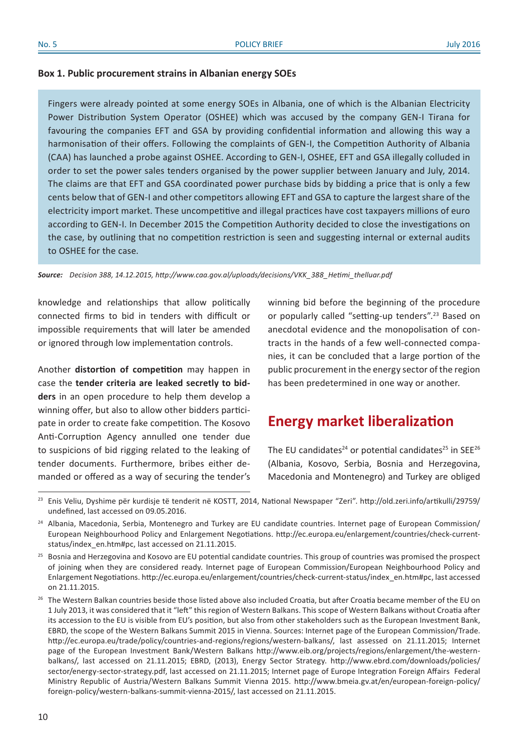### **Box 1. Public procurement strains in Albanian energy SOEs**

Fingers were already pointed at some energy SOEs in Albania, one of which is the Albanian Electricity Power Distribution System Operator (OSHEE) which was accused by the company GEN-I Tirana for favouring the companies EFT and GSA by providing confidential information and allowing this way a harmonisation of their offers. Following the complaints of GEN-I, the Competition Authority of Albania (CAA) has launched a probe against OSHEE. According to GEN-I, OSHEE, EFT and GSA illegally colluded in order to set the power sales tenders organised by the power supplier between January and July, 2014. The claims are that EFT and GSA coordinated power purchase bids by bidding a price that is only a few cents below that of GEN-I and other competitors allowing EFT and GSA to capture the largest share of the electricity import market. These uncompetitive and illegal practices have cost taxpayers millions of euro according to GEN-I. In December 2015 the Competition Authority decided to close the investigations on the case, by outlining that no competition restriction is seen and suggesting internal or external audits to OSHEE for the case.

*Source: Decision 388, 14.12.2015, http://www.caa.gov.al/uploads/decisions/VKK\_388\_Hetimi\_thelluar.pdf*

knowledge and relationships that allow politically connected firms to bid in tenders with difficult or impossible requirements that will later be amended or ignored through low implementation controls.

Another **distortion of competition** may happen in case the **tender criteria are leaked secretly to bidders** in an open procedure to help them develop a winning offer, but also to allow other bidders participate in order to create fake competition. The Kosovo Anti-Corruption Agency annulled one tender due to suspicions of bid rigging related to the leaking of tender documents. Furthermore, bribes either demanded or offered as a way of securing the tender's

winning bid before the beginning of the procedure or popularly called "setting-up tenders".<sup>23</sup> Based on anecdotal evidence and the monopolisation of contracts in the hands of a few well-connected companies, it can be concluded that a large portion of the public procurement in the energy sector of the region has been predetermined in one way or another.

### **Energy market liberalization**

The EU candidates<sup>24</sup> or potential candidates<sup>25</sup> in SEE<sup>26</sup> (Albania, Kosovo, Serbia, Bosnia and Herzegovina, Macedonia and Montenegro) and Turkey are obliged

<sup>&</sup>lt;sup>23</sup> Enis Veliu, Dyshime për kurdisje të tenderit në KOSTT, 2014, National Newspaper "Zeri". http://old.zeri.info/artikulli/29759/ undefined, last accessed on 09.05.2016.

 $24$  Albania, Macedonia, Serbia, Montenegro and Turkey are EU candidate countries. Internet page of European Commission/ European Neighbourhood Policy and Enlargement Negotiations. http://ec.europa.eu/enlargement/countries/check-currentstatus/index\_en.htm#pc, last accessed on 21.11.2015.

<sup>&</sup>lt;sup>25</sup> Bosnia and Herzegovina and Kosovo are EU potential candidate countries. This group of countries was promised the prospect of joining when they are considered ready. Internet page of European Commission/European Neighbourhood Policy and Enlargement Negotiations. http://ec.europa.eu/enlargement/countries/check-current-status/index\_en.htm#pc, last accessed on 21.11.2015.

<sup>&</sup>lt;sup>26</sup> The Western Balkan countries beside those listed above also included Croatia, but after Croatia became member of the EU on 1 July 2013, it was considered that it "left" this region of Western Balkans. This scope of Western Balkans without Croatia after its accession to the EU is visible from EU's position, but also from other stakeholders such as the European Investment Bank, EBRD, the scope of the Western Balkans Summit 2015 in Vienna. Sources: Internet page of the European Commission/Trade. http://ec.europa.eu/trade/policy/countries-and-regions/regions/western-balkans/, last assessed on 21.11.2015; Internet page of the European Investment Bank/Western Balkans http://www.eib.org/projects/regions/enlargement/the-westernbalkans/, last accessed on 21.11.2015; EBRD, (2013), Energy Sector Strategy. http://www.ebrd.com/downloads/policies/ sector/energy-sector-strategy.pdf, last accessed on 21.11.2015; Internet page of Europe Integration Foreign Affairs Federal Ministry Republic of Austria/Western Balkans Summit Vienna 2015. http://www.bmeia.gv.at/en/european-foreign-policy/ foreign-policy/western-balkans-summit-vienna-2015/, last accessed on 21.11.2015.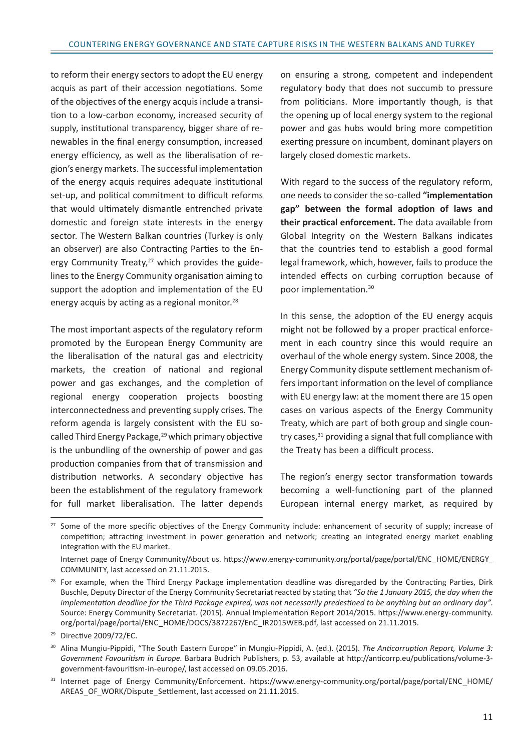to reform their energy sectors to adopt the EU energy acquis as part of their accession negotiations. Some of the objectives of the energy acquis include a transition to a low-carbon economy, increased security of supply, institutional transparency, bigger share of renewables in the final energy consumption, increased energy efficiency, as well as the liberalisation of region's energy markets. The successful implementation of the energy acquis requires adequate institutional set-up, and political commitment to difficult reforms that would ultimately dismantle entrenched private domestic and foreign state interests in the energy sector. The Western Balkan countries (Turkey is only an observer) are also Contracting Parties to the Energy Community Treaty, $27$  which provides the guidelines to the Energy Community organisation aiming to support the adoption and implementation of the EU energy acquis by acting as a regional monitor.<sup>28</sup>

The most important aspects of the regulatory reform promoted by the European Energy Community are the liberalisation of the natural gas and electricity markets, the creation of national and regional power and gas exchanges, and the completion of regional energy cooperation projects boosting interconnectedness and preventing supply crises. The reform agenda is largely consistent with the EU socalled Third Energy Package,<sup>29</sup> which primary objective is the unbundling of the ownership of power and gas production companies from that of transmission and distribution networks. A secondary objective has been the establishment of the regulatory framework for full market liberalisation. The latter depends on ensuring a strong, competent and independent regulatory body that does not succumb to pressure from politicians. More importantly though, is that the opening up of local energy system to the regional power and gas hubs would bring more competition exerting pressure on incumbent, dominant players on largely closed domestic markets.

With regard to the success of the regulatory reform, one needs to consider the so-called **"implementation gap" between the formal adoption of laws and their practical enforcement.** The data available from Global Integrity on the Western Balkans indicates that the countries tend to establish a good formal legal framework, which, however, fails to produce the intended effects on curbing corruption because of poor implementation.30

In this sense, the adoption of the EU energy acquis might not be followed by a proper practical enforcement in each country since this would require an overhaul of the whole energy system. Since 2008, the Energy Community dispute settlement mechanism offers important information on the level of compliance with EU energy law: at the moment there are 15 open cases on various aspects of the Energy Community Treaty, which are part of both group and single country cases,  $31$  providing a signal that full compliance with the Treaty has been a difficult process.

The region's energy sector transformation towards becoming a well-functioning part of the planned European internal energy market, as required by

<sup>&</sup>lt;sup>27</sup> Some of the more specific objectives of the Energy Community include: enhancement of security of supply; increase of competition; attracting investment in power generation and network; creating an integrated energy market enabling integration with the EU market.

Internet page of Energy Community/About us. https://www.energy-community.org/portal/page/portal/ENC\_HOME/ENERGY\_ COMMUNITY, last accessed on 21.11.2015.

<sup>&</sup>lt;sup>28</sup> For example, when the Third Energy Package implementation deadline was disregarded by the Contracting Parties, Dirk Buschle, Deputy Director of the Energy Community Secretariat reacted by stating that *"So the 1 January 2015, the day when the implementation deadline for the Third Package expired, was not necessarily predestined to be anything but an ordinary day"*. Source: Energy Community Secretariat. (2015). Annual Implementation Report 2014/2015. https://www.energy-community. org/portal/page/portal/ENC\_HOME/DOCS/3872267/EnC\_IR2015WEB.pdf, last accessed on 21.11.2015.

<sup>29</sup> Directive 2009/72/EC.

<sup>30</sup> Alina Mungiu-Pippidi, "The South Eastern Europe" in Mungiu-Pippidi, A. (ed.). (2015). *The Anticorruption Report, Volume 3: Government Favouritism in Europe*. Barbara Budrich Publishers, p. 53, available at http://anticorrp.eu/publications/volume-3 government-favouritism-in-europe/, last accessed on 09.05.2016.

<sup>31</sup> Internet page of Energy Community/Enforcement. https://www.energy-community.org/portal/page/portal/ENC HOME/ AREAS OF WORK/Dispute Settlement, last accessed on 21.11.2015.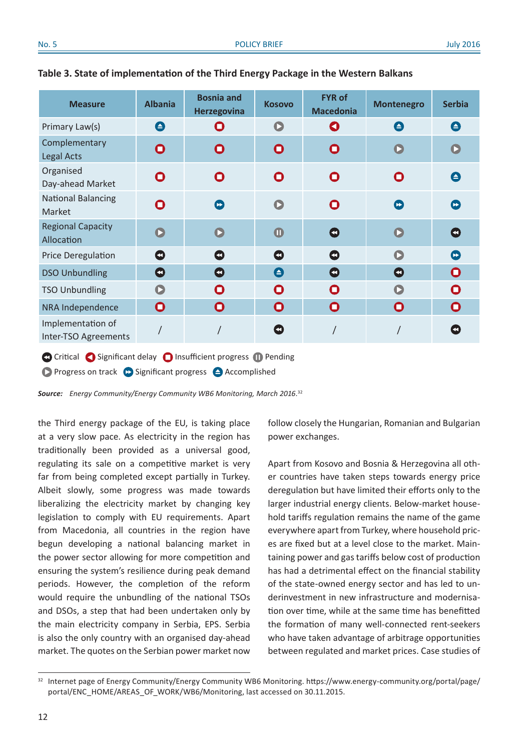| <b>Measure</b>                             | <b>Albania</b>        | <b>Bosnia and</b><br><b>Herzegovina</b> | <b>Kosovo</b>    | <b>FYR of</b><br><b>Macedonia</b> | <b>Montenegro</b> | <b>Serbia</b>              |
|--------------------------------------------|-----------------------|-----------------------------------------|------------------|-----------------------------------|-------------------|----------------------------|
| Primary Law(s)                             | $\boldsymbol{\Theta}$ | О                                       | $\mathbf C$      | O                                 | $\mathbf \Theta$  | $\mathbf \Theta$           |
| Complementary<br><b>Legal Acts</b>         | O                     | O                                       | $\mathbf O$      | O                                 | $\mathbf C$       | $\mathbf C$                |
| Organised<br>Day-ahead Market              | O                     | O                                       | O                | O                                 | O                 | $\mathbf \Theta$           |
| <b>National Balancing</b><br><b>Market</b> | O                     | $\mathbf C$                             | $\mathbf \Omega$ | O                                 | $\bigodot$        | $\bullet$                  |
| <b>Regional Capacity</b><br>Allocation     | $\mathbf{O}$          | $\mathbf C$                             | $\mathbf 0$      | O                                 | $\mathbf \Omega$  | Ø                          |
| Price Deregulation                         | Ø                     | O                                       | O                | Ø                                 | O                 | $\left( \mathbf{r}\right)$ |
| <b>DSO Unbundling</b>                      | $\bullet$             | O                                       | $\bullet$        | $\bullet$                         | O                 | O                          |
| <b>TSO Unbundling</b>                      | $\bullet$             | O                                       | O                | O                                 | $\bullet$         | O                          |
| NRA Independence                           | O                     | O                                       | O                | O                                 | O                 | $\mathbf O$                |
| Implementation of<br>Inter-TSO Agreements  |                       |                                         | O                |                                   |                   | Œ                          |

#### **Table 3. State of implementation of the Third Energy Package in the Western Balkans**

**C** Critical Significant delay **O** Insufficient progress **ID** Pending **Progress on track C** Significant progress  $\triangle$  Accomplished

*Source: Energy Community/Energy Community WB6 Monitoring, March 2016*. 32

the Third energy package of the EU, is taking place at a very slow pace. As electricity in the region has traditionally been provided as a universal good, regulating its sale on a competitive market is very far from being completed except partially in Turkey. Albeit slowly, some progress was made towards liberalizing the electricity market by changing key legislation to comply with EU requirements. Apart from Macedonia, all countries in the region have begun developing a national balancing market in the power sector allowing for more competition and ensuring the system's resilience during peak demand periods. However, the completion of the reform would require the unbundling of the national TSOs and DSOs, a step that had been undertaken only by the main electricity company in Serbia, EPS. Serbia is also the only country with an organised day-ahead market. The quotes on the Serbian power market now

follow closely the Hungarian, Romanian and Bulgarian power exchanges.

Apart from Kosovo and Bosnia & Herzegovina all other countries have taken steps towards energy price deregulation but have limited their efforts only to the larger industrial energy clients. Below-market household tariffs regulation remains the name of the game everywhere apart from Turkey, where household prices are fixed but at a level close to the market. Maintaining power and gas tariffs below cost of production has had a detrimental effect on the financial stability of the state-owned energy sector and has led to underinvestment in new infrastructure and modernisation over time, while at the same time has benefitted the formation of many well-connected rent-seekers who have taken advantage of arbitrage opportunities between regulated and market prices. Case studies of

<sup>&</sup>lt;sup>32</sup> Internet page of Energy Community/Energy Community WB6 Monitoring. https://www.energy-community.org/portal/page/ portal/ENC\_HOME/AREAS\_OF\_WORK/WB6/Monitoring, last accessed on 30.11.2015.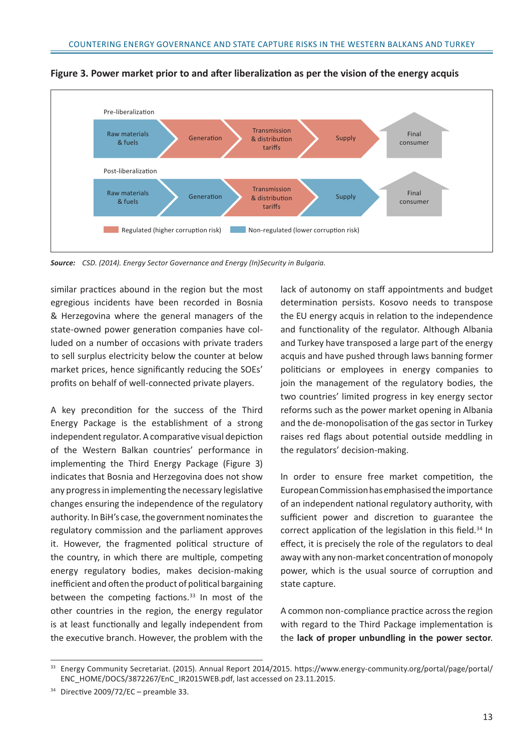

**Figure 3. Power market prior to and after liberalization as per the vision of the energy acquis**

*Source: CSD. (2014). Energy Sector Governance and Energy (In)Security in Bulgaria.*

similar practices abound in the region but the most egregious incidents have been recorded in Bosnia & Herzegovina where the general managers of the state-owned power generation companies have colluded on a number of occasions with private traders to sell surplus electricity below the counter at below market prices, hence significantly reducing the SOEs' profits on behalf of well-connected private players.

A key precondition for the success of the Third Energy Package is the establishment of a strong independent regulator. A comparative visual depiction of the Western Balkan countries' performance in implementing the Third Energy Package (Figure 3) indicates that Bosnia and Herzegovina does not show any progress in implementing the necessary legislative changes ensuring the independence of the regulatory authority. In BiH's case, the government nominates the regulatory commission and the parliament approves it. However, the fragmented political structure of the country, in which there are multiple, competing energy regulatory bodies, makes decision-making inefficient and often the product of political bargaining between the competing factions.<sup>33</sup> In most of the other countries in the region, the energy regulator is at least functionally and legally independent from the executive branch. However, the problem with the lack of autonomy on staff appointments and budget determination persists. Kosovo needs to transpose the EU energy acquis in relation to the independence and functionality of the regulator. Although Albania and Turkey have transposed a large part of the energy acquis and have pushed through laws banning former politicians or employees in energy companies to join the management of the regulatory bodies, the two countries' limited progress in key energy sector reforms such as the power market opening in Albania and the de-monopolisation of the gas sector in Turkey raises red flags about potential outside meddling in the regulators' decision-making.

In order to ensure free market competition, the European Commission has emphasised the importance of an independent national regulatory authority, with sufficient power and discretion to guarantee the correct application of the legislation in this field.<sup>34</sup> In effect, it is precisely the role of the regulators to deal away with any non-market concentration of monopoly power, which is the usual source of corruption and state capture.

A common non-compliance practice across the region with regard to the Third Package implementation is the **lack of proper unbundling in the power sector**.

<sup>33</sup> Energy Community Secretariat. (2015). Annual Report 2014/2015. https://www.energy-community.org/portal/page/portal/ ENC\_HOME/DOCS/3872267/EnC\_IR2015WEB.pdf, last accessed on 23.11.2015.

 $34$  Directive 2009/72/EC – preamble 33.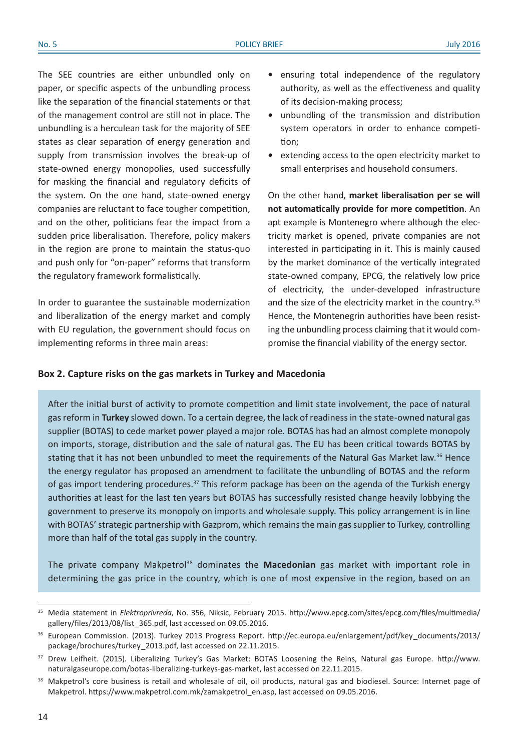The SEE countries are either unbundled only on paper, or specific aspects of the unbundling process like the separation of the financial statements or that of the management control are still not in place. The unbundling is a herculean task for the majority of SEE states as clear separation of energy generation and supply from transmission involves the break-up of state-owned energy monopolies, used successfully for masking the financial and regulatory deficits of the system. On the one hand, state-owned energy companies are reluctant to face tougher competition, and on the other, politicians fear the impact from a sudden price liberalisation. Therefore, policy makers in the region are prone to maintain the status-quo and push only for "on-paper" reforms that transform the regulatory framework formalistically.

In order to guarantee the sustainable modernization and liberalization of the energy market and comply with EU regulation, the government should focus on implementing reforms in three main areas:

- **•** ensuring total independence of the regulatory authority, as well as the effectiveness and quality of its decision-making process;
- **•** unbundling of the transmission and distribution system operators in order to enhance competition;
- **•** extending access to the open electricity market to small enterprises and household consumers.

On the other hand, **market liberalisation per se will not automatically provide for more competition**. An apt example is Montenegro where although the electricity market is opened, private companies are not interested in participating in it. This is mainly caused by the market dominance of the vertically integrated state-owned company, EPCG, the relatively low price of electricity, the under-developed infrastructure and the size of the electricity market in the country.<sup>35</sup> Hence, the Montenegrin authorities have been resisting the unbundling process claiming that it would compromise the financial viability of the energy sector.

#### **Box 2. Capture risks on the gas markets in Turkey and Macedonia**

After the initial burst of activity to promote competition and limit state involvement, the pace of natural gas reform in **Turkey** slowed down. To a certain degree, the lack of readiness in the state-owned natural gas supplier (BOTAS) to cede market power played a major role. BOTAS has had an almost complete monopoly on imports, storage, distribution and the sale of natural gas. The EU has been critical towards BOTAS by stating that it has not been unbundled to meet the requirements of the Natural Gas Market law.<sup>36</sup> Hence the energy regulator has proposed an amendment to facilitate the unbundling of BOTAS and the reform of gas import tendering procedures.37 This reform package has been on the agenda of the Turkish energy authorities at least for the last ten years but BOTAS has successfully resisted change heavily lobbying the government to preserve its monopoly on imports and wholesale supply. This policy arrangement is in line with BOTAS' strategic partnership with Gazprom, which remains the main gas supplier to Turkey, controlling more than half of the total gas supply in the country.

The private company Makpetrol<sup>38</sup> dominates the Macedonian gas market with important role in determining the gas price in the country, which is one of most expensive in the region, based on an

<sup>35</sup> Media statement in *Elektroprivreda*, No. 356, Niksic, February 2015. http://www.epcg.com/sites/epcg.com/files/multimedia/ gallery/files/2013/08/list\_365.pdf, last accessed on 09.05.2016.

<sup>&</sup>lt;sup>36</sup> European Commission. (2013). Turkey 2013 Progress Report. http://ec.europa.eu/enlargement/pdf/key\_documents/2013/ package/brochures/turkey\_2013.pdf, last accessed on 22.11.2015.

<sup>&</sup>lt;sup>37</sup> Drew Leifheit. (2015). Liberalizing Turkey's Gas Market: BOTAS Loosening the Reins, Natural gas Europe. http://www. naturalgaseurope.com/botas-liberalizing-turkeys-gas-market, last accessed on 22.11.2015.

<sup>38</sup> Makpetrol's core business is retail and wholesale of oil, oil products, natural gas and biodiesel. Source: Internet page of Makpetrol. https://www.makpetrol.com.mk/zamakpetrol\_en.asp, last accessed on 09.05.2016.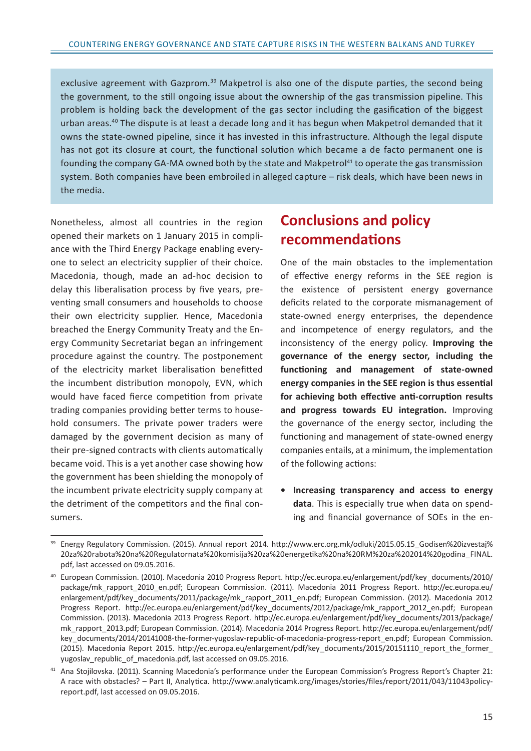exclusive agreement with Gazprom.<sup>39</sup> Makpetrol is also one of the dispute parties, the second being the government, to the still ongoing issue about the ownership of the gas transmission pipeline. This problem is holding back the development of the gas sector including the gasification of the biggest urban areas.40 The dispute is at least a decade long and it has begun when Makpetrol demanded that it owns the state-owned pipeline, since it has invested in this infrastructure. Although the legal dispute has not got its closure at court, the functional solution which became a de facto permanent one is founding the company GA-MA owned both by the state and Makpetrol<sup>41</sup> to operate the gas transmission system. Both companies have been embroiled in alleged capture – risk deals, which have been news in the media.

Nonetheless, almost all countries in the region opened their markets on 1 January 2015 in compliance with the Third Energy Package enabling everyone to select an electricity supplier of their choice. Macedonia, though, made an ad-hoc decision to delay this liberalisation process by five years, preventing small consumers and households to choose their own electricity supplier. Hence, Macedonia breached the Energy Community Treaty and the Energy Community Secretariat began an infringement procedure against the country. The postponement of the electricity market liberalisation benefitted the incumbent distribution monopoly, EVN, which would have faced fierce competition from private trading companies providing better terms to household consumers. The private power traders were damaged by the government decision as many of their pre-signed contracts with clients automatically became void. This is a yet another case showing how the government has been shielding the monopoly of the incumbent private electricity supply company at the detriment of the competitors and the final consumers.

## **Conclusions and policy recommendations**

One of the main obstacles to the implementation of effective energy reforms in the SEE region is the existence of persistent energy governance deficits related to the corporate mismanagement of state-owned energy enterprises, the dependence and incompetence of energy regulators, and the inconsistency of the energy policy. **Improving the governance of the energy sector, including the functioning and management of state-owned energy companies in the SEE region is thus essential for achieving both effective anti-corruption results and progress towards EU integration.** Improving the governance of the energy sector, including the functioning and management of state-owned energy companies entails, at a minimum, the implementation of the following actions:

**• Increasing transparency and access to energy data**. This is especially true when data on spending and financial governance of SOEs in the en-

<sup>&</sup>lt;sup>39</sup> Energy Regulatory Commission. (2015). Annual report 2014. http://www.erc.org.mk/odluki/2015.05.15 Godisen%20izvestaj% 20za%20rabota%20na%20Regulatornata%20komisija%20za%20energetika%20na%20RM%20za%202014%20godina\_FINAL. pdf, last accessed on 09.05.2016.

<sup>40</sup> European Commission. (2010). Macedonia 2010 Progress Report. http://ec.europa.eu/enlargement/pdf/key\_documents/2010/ package/mk\_rapport\_2010\_en.pdf; European Commission. (2011). Macedonia 2011 Progress Report. http://ec.europa.eu/ enlargement/pdf/key\_documents/2011/package/mk\_rapport\_2011\_en.pdf; European Commission. (2012). Macedonia 2012 Progress Report. http://ec.europa.eu/enlargement/pdf/key\_documents/2012/package/mk\_rapport\_2012\_en.pdf; European Commission. (2013). Macedonia 2013 Progress Report. http://ec.europa.eu/enlargement/pdf/key\_documents/2013/package/ mk rapport 2013.pdf; European Commission. (2014). Macedonia 2014 Progress Report. http://ec.europa.eu/enlargement/pdf/ key\_documents/2014/20141008-the-former-yugoslav-republic-of-macedonia-progress-report\_en.pdf; European Commission. (2015). Macedonia Report 2015. http://ec.europa.eu/enlargement/pdf/key\_documents/2015/20151110\_report\_the\_former\_ yugoslav republic of macedonia.pdf, last accessed on 09.05.2016.

<sup>41</sup> Ana Stojilovska. (2011). Scanning Macedonia's performance under the European Commission's Progress Report's Chapter 21: A race with obstacles? – Part II, Analytica. http://www.analyticamk.org/images/stories/files/report/2011/043/11043policyreport.pdf, last accessed on 09.05.2016.